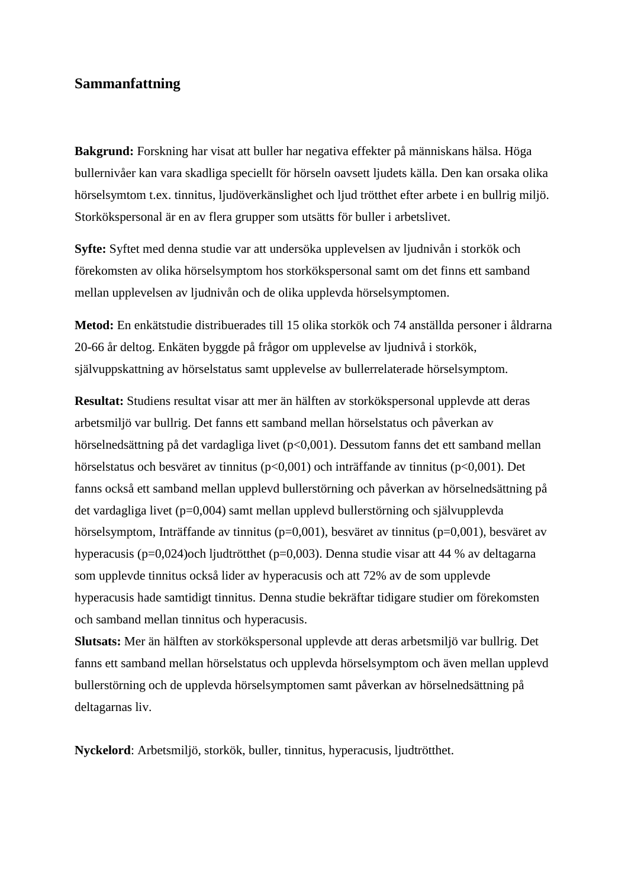## **Sammanfattning**

**Bakgrund:** Forskning har visat att buller har negativa effekter på människans hälsa. Höga bullernivåer kan vara skadliga speciellt för hörseln oavsett ljudets källa. Den kan orsaka olika hörselsymtom t.ex. tinnitus, ljudöverkänslighet och ljud trötthet efter arbete i en bullrig miljö. Storkökspersonal är en av flera grupper som utsätts för buller i arbetslivet.

**Syfte:** Syftet med denna studie var att undersöka upplevelsen av ljudnivån i storkök och förekomsten av olika hörselsymptom hos storkökspersonal samt om det finns ett samband mellan upplevelsen av ljudnivån och de olika upplevda hörselsymptomen.

**Metod:** En enkätstudie distribuerades till 15 olika storkök och 74 anställda personer i åldrarna 20-66 år deltog. Enkäten byggde på frågor om upplevelse av ljudnivå i storkök, självuppskattning av hörselstatus samt upplevelse av bullerrelaterade hörselsymptom.

**Resultat:** Studiens resultat visar att mer än hälften av storkökspersonal upplevde att deras arbetsmiljö var bullrig. Det fanns ett samband mellan hörselstatus och påverkan av hörselnedsättning på det vardagliga livet (p<0,001). Dessutom fanns det ett samband mellan hörselstatus och besväret av tinnitus (p<0,001) och inträffande av tinnitus (p<0,001). Det fanns också ett samband mellan upplevd bullerstörning och påverkan av hörselnedsättning på det vardagliga livet (p=0,004) samt mellan upplevd bullerstörning och självupplevda hörselsymptom, Inträffande av tinnitus (p=0,001), besväret av tinnitus (p=0,001), besväret av hyperacusis (p=0,024)och ljudtrötthet (p=0,003). Denna studie visar att 44 % av deltagarna som upplevde tinnitus också lider av hyperacusis och att 72% av de som upplevde hyperacusis hade samtidigt tinnitus. Denna studie bekräftar tidigare studier om förekomsten och samband mellan tinnitus och hyperacusis.

**Slutsats:** Mer än hälften av storkökspersonal upplevde att deras arbetsmiljö var bullrig. Det fanns ett samband mellan hörselstatus och upplevda hörselsymptom och även mellan upplevd bullerstörning och de upplevda hörselsymptomen samt påverkan av hörselnedsättning på deltagarnas liv.

**Nyckelord**: Arbetsmiljö, storkök, buller, tinnitus, hyperacusis, ljudtrötthet.